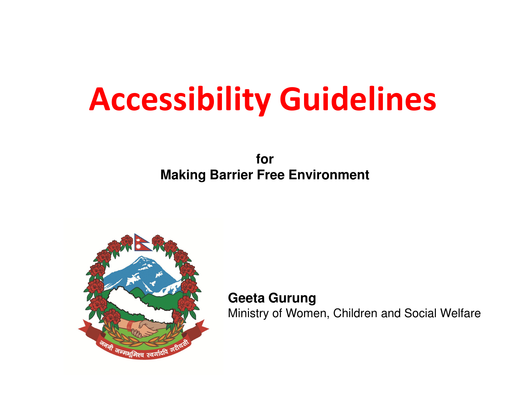# Accessibility Guidelines

**for Making Barrier Free Environment** 



**Geeta Gurung**Ministry of Women, Children and Social Welfare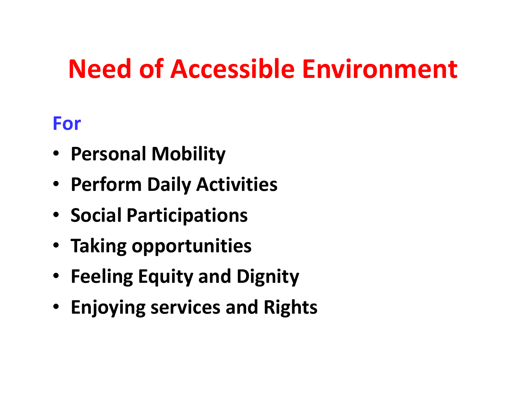## Need of Accessible Environment

#### For

- Personal Mobility
- Perform Daily Activities
- Social Participations
- Taking opportunities
- Feeling Equity and Dignity
- Enjoying services and Rights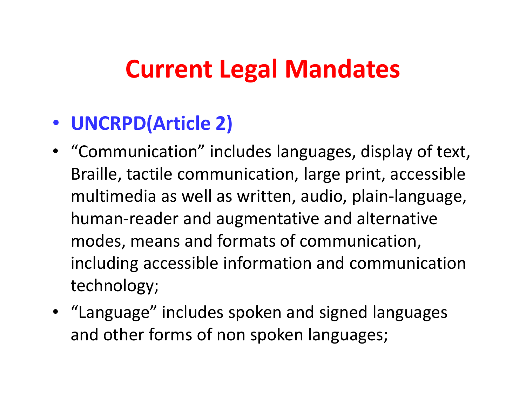### Current Legal Mandates

### • UNCRPD(Article 2)

- "Communication" includes languages, display of text, Braille, tactile communication, large print, accessible multimedia as well as written, audio, plain-language, human-reader and augmentative and alternative modes, means and formats of communication, including accessible information and communication technology;
- "Language" includes spoken and signed languages and other forms of non spoken languages;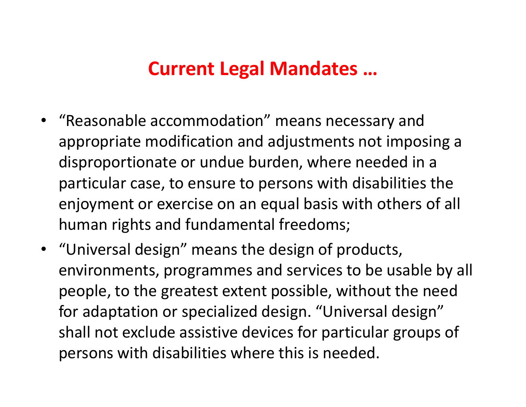#### Current Legal Mandates …

- • "Reasonable accommodation" means necessary and appropriate modification and adjustments not imposing a disproportionate or undue burden, where needed in a particular case, to ensure to persons with disabilities the enjoyment or exercise on an equal basis with others of all human rights and fundamental freedoms;
- "Universal design" means the design of products, environments, programmes and services to be usable by all people, to the greatest extent possible, without the need for adaptation or specialized design. "Universal design" shall not exclude assistive devices for particular groups of persons with disabilities where this is needed.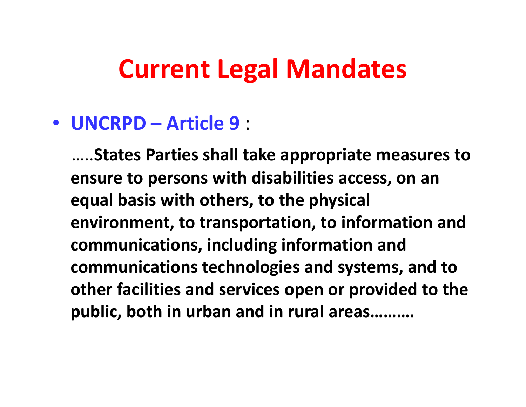### Current Legal Mandates

### • UNCRPD – Article 9 :

…..States Parties shall take appropriate measures to ensure to persons with disabilities access, on an equal basis with others, to the physical environment, to transportation, to information and communications, including information and communications technologies and systems, and to other facilities and services open or provided to the public, both in urban and in rural areas……….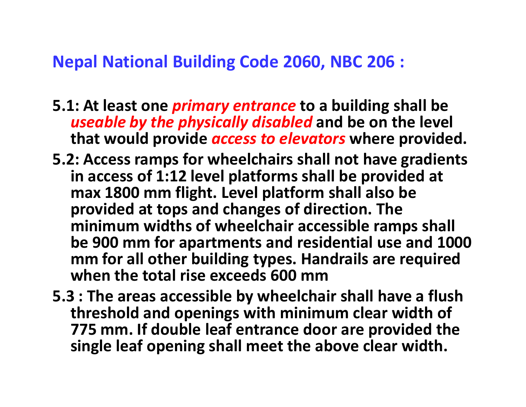#### Nepal National Building Code 2060, NBC 206 :

- 5.1: At least one *primary entrance* to a building shall be useable by the physically disabled and be on the level that would provide *access to elevators* where provided.
- 5.2: Access ramps for wheelchairs shall not have gradients in access of 1:12 level platforms shall be provided at max 1800 mm flight. Level platform shall also be provided at tops and changes of direction. The minimum widths of wheelchair accessible ramps shall be 900 mm for apartments and residential use and 1000 mm for all other building types. Handrails are required when the total rise exceeds 600 mm
- 5.3 : The areas accessible by wheelchair shall have a flush threshold and openings with minimum clear width of 775 mm. If double leaf entrance door are provided the single leaf opening shall meet the above clear width.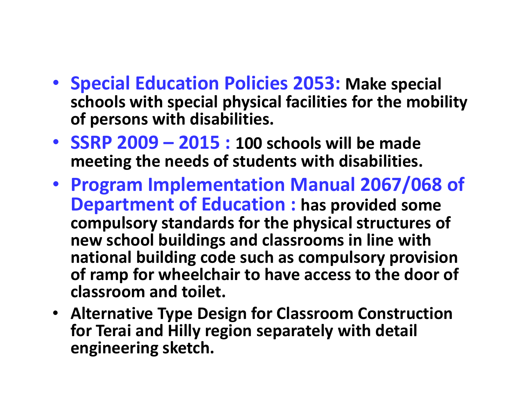- Special Education Policies 2053: Make special schools with special physical facilities for the mobility of persons with disabilities.
- SSRP  $2009 2015 : 100$  schools will be made meeting the needs of students with disabilities.
- Program Implementation Manual 2067/068 of Department of Education : has provided some compulsory standards for the physical structures of new school buildings and classrooms in line with national building code such as compulsory provision of ramp for wheelchair to have access to the door ofclassroom and toilet.
- Alternative Type Design for Classroom Construction for Terai and Hilly region separately with detail engineering sketch.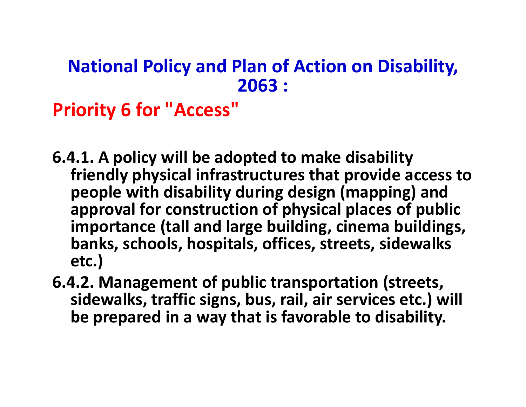#### National Policy and Plan of Action on Disability, 2063 :

Priority 6 for "Access"

- 6.4.1. A policy will be adopted to make disability friendly physical infrastructures that provide access to people with disability during design (mapping) and approval for construction of physical places of public importance (tall and large building, cinema buildings, banks, schools, hospitals, offices, streets, sidewalks etc.)
- 6.4.2. Management of public transportation (streets, sidewalks, traffic signs, bus, rail, air services etc.) will be prepared in a way that is favorable to disability.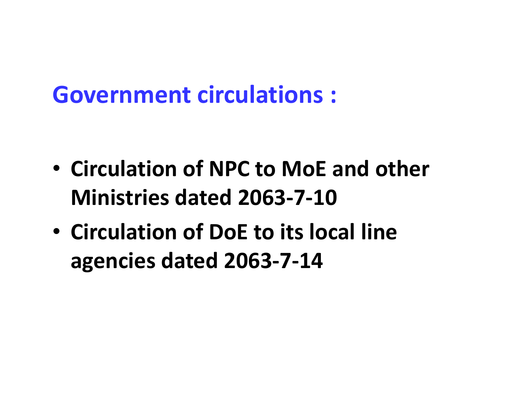### Government circulations :

- Circulation of NPC to MoE and other Ministries dated 2063-7-10
- Circulation of DoE to its local line agencies dated 2063-7-14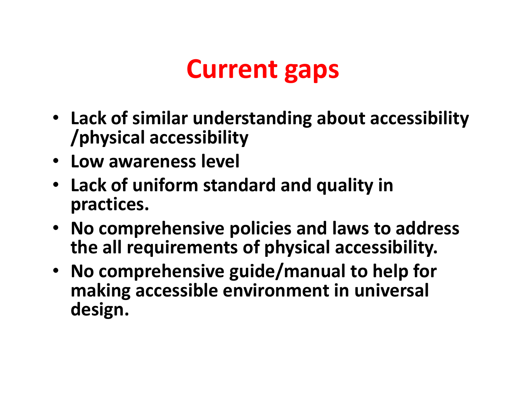### Current gaps

- Lack of similar understanding about accessibility /physical accessibility
- Low awareness level
- Lack of uniform standard and quality in practices.
- No comprehensive policies and laws to address the all requirements of physical accessibility.
- No comprehensive guide/manual to help for making accessible environment in universal design.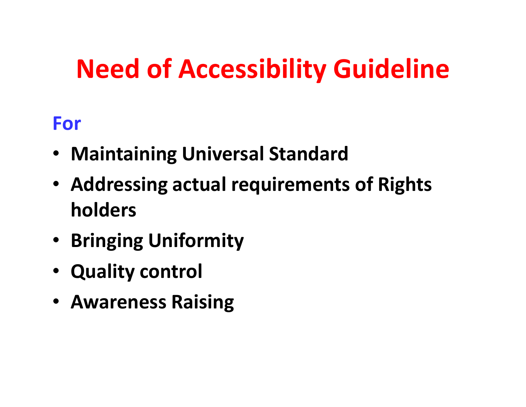# Need of Accessibility Guideline

#### For

- •Maintaining Universal Standard
- Addressing actual requirements of Rights holders
- Bringing Uniformity
- Quality control
- Awareness Raising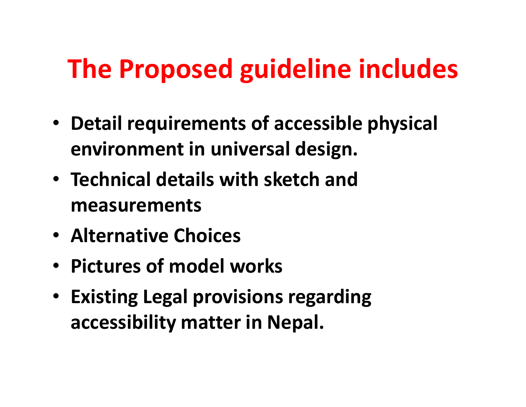# The Proposed guideline includes

- Detail requirements of accessible physical environment in universal design.
- Technical details with sketch and measurements
- Alternative Choices
- Pictures of model works
- Existing Legal provisions regarding accessibility matter in Nepal.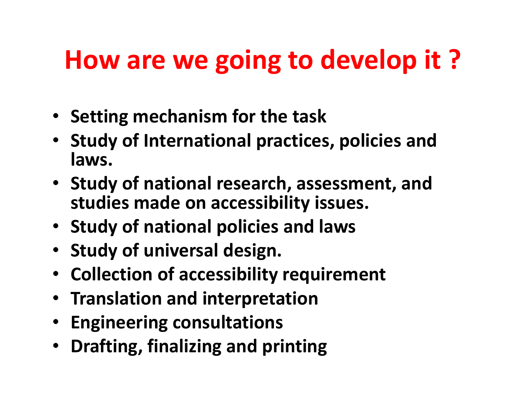### How are we going to develop it ?

- Setting mechanism for the task
- Study of International practices, policies and laws.
- Study of national research, assessment, and studies made on accessibility issues.
- Study of national policies and laws
- Study of universal design.
- Collection of accessibility requirement
- Translation and interpretation
- Engineering consultations
- Drafting, finalizing and printing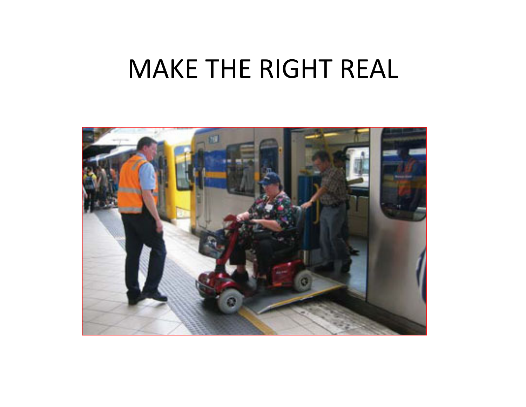### MAKE THE RIGHT REAL